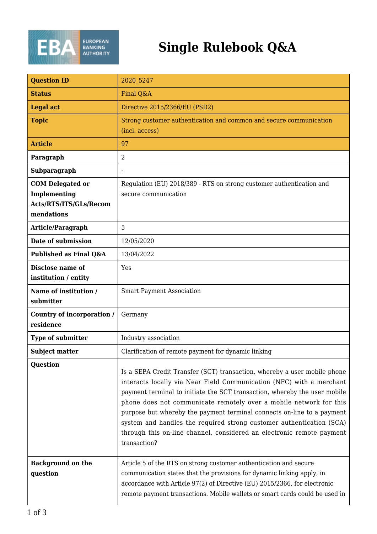

## **Single Rulebook Q&A**

| <b>Question ID</b>                                                              | 2020 5247                                                                                                                                                                                                                                                                                                                                                                                                                                                                                                                                      |
|---------------------------------------------------------------------------------|------------------------------------------------------------------------------------------------------------------------------------------------------------------------------------------------------------------------------------------------------------------------------------------------------------------------------------------------------------------------------------------------------------------------------------------------------------------------------------------------------------------------------------------------|
| <b>Status</b>                                                                   | Final Q&A                                                                                                                                                                                                                                                                                                                                                                                                                                                                                                                                      |
| <b>Legal act</b>                                                                | Directive 2015/2366/EU (PSD2)                                                                                                                                                                                                                                                                                                                                                                                                                                                                                                                  |
| <b>Topic</b>                                                                    | Strong customer authentication and common and secure communication<br>(incl. access)                                                                                                                                                                                                                                                                                                                                                                                                                                                           |
| <b>Article</b>                                                                  | 97                                                                                                                                                                                                                                                                                                                                                                                                                                                                                                                                             |
| Paragraph                                                                       | 2                                                                                                                                                                                                                                                                                                                                                                                                                                                                                                                                              |
| Subparagraph                                                                    |                                                                                                                                                                                                                                                                                                                                                                                                                                                                                                                                                |
| <b>COM Delegated or</b><br>Implementing<br>Acts/RTS/ITS/GLs/Recom<br>mendations | Regulation (EU) 2018/389 - RTS on strong customer authentication and<br>secure communication                                                                                                                                                                                                                                                                                                                                                                                                                                                   |
| Article/Paragraph                                                               | 5                                                                                                                                                                                                                                                                                                                                                                                                                                                                                                                                              |
| Date of submission                                                              | 12/05/2020                                                                                                                                                                                                                                                                                                                                                                                                                                                                                                                                     |
| Published as Final Q&A                                                          | 13/04/2022                                                                                                                                                                                                                                                                                                                                                                                                                                                                                                                                     |
| Disclose name of<br>institution / entity                                        | Yes                                                                                                                                                                                                                                                                                                                                                                                                                                                                                                                                            |
| Name of institution /<br>submitter                                              | <b>Smart Payment Association</b>                                                                                                                                                                                                                                                                                                                                                                                                                                                                                                               |
| Country of incorporation /<br>residence                                         | Germany                                                                                                                                                                                                                                                                                                                                                                                                                                                                                                                                        |
| Type of submitter                                                               | Industry association                                                                                                                                                                                                                                                                                                                                                                                                                                                                                                                           |
| <b>Subject matter</b>                                                           | Clarification of remote payment for dynamic linking                                                                                                                                                                                                                                                                                                                                                                                                                                                                                            |
| <b>Question</b>                                                                 | Is a SEPA Credit Transfer (SCT) transaction, whereby a user mobile phone<br>interacts locally via Near Field Communication (NFC) with a merchant<br>payment terminal to initiate the SCT transaction, whereby the user mobile<br>phone does not communicate remotely over a mobile network for this<br>purpose but whereby the payment terminal connects on-line to a payment<br>system and handles the required strong customer authentication (SCA)<br>through this on-line channel, considered an electronic remote payment<br>transaction? |
| <b>Background on the</b><br>question                                            | Article 5 of the RTS on strong customer authentication and secure<br>communication states that the provisions for dynamic linking apply, in<br>accordance with Article 97(2) of Directive (EU) 2015/2366, for electronic<br>remote payment transactions. Mobile wallets or smart cards could be used in                                                                                                                                                                                                                                        |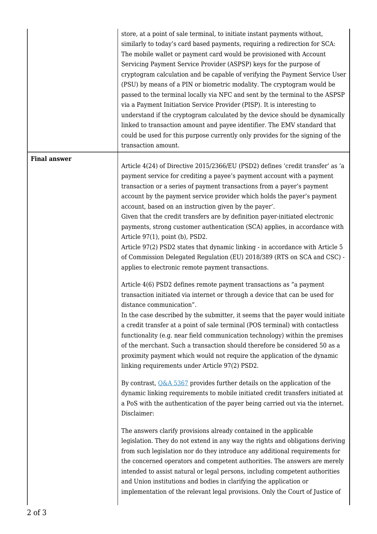|                     | store, at a point of sale terminal, to initiate instant payments without,<br>similarly to today's card based payments, requiring a redirection for SCA:<br>The mobile wallet or payment card would be provisioned with Account<br>Servicing Payment Service Provider (ASPSP) keys for the purpose of<br>cryptogram calculation and be capable of verifying the Payment Service User<br>(PSU) by means of a PIN or biometric modality. The cryptogram would be<br>passed to the terminal locally via NFC and sent by the terminal to the ASPSP<br>via a Payment Initiation Service Provider (PISP). It is interesting to<br>understand if the cryptogram calculated by the device should be dynamically<br>linked to transaction amount and payee identifier. The EMV standard that<br>could be used for this purpose currently only provides for the signing of the<br>transaction amount. |
|---------------------|--------------------------------------------------------------------------------------------------------------------------------------------------------------------------------------------------------------------------------------------------------------------------------------------------------------------------------------------------------------------------------------------------------------------------------------------------------------------------------------------------------------------------------------------------------------------------------------------------------------------------------------------------------------------------------------------------------------------------------------------------------------------------------------------------------------------------------------------------------------------------------------------|
| <b>Final answer</b> | Article 4(24) of Directive 2015/2366/EU (PSD2) defines 'credit transfer' as 'a                                                                                                                                                                                                                                                                                                                                                                                                                                                                                                                                                                                                                                                                                                                                                                                                             |
|                     | payment service for crediting a payee's payment account with a payment<br>transaction or a series of payment transactions from a payer's payment<br>account by the payment service provider which holds the payer's payment<br>account, based on an instruction given by the payer'.<br>Given that the credit transfers are by definition payer-initiated electronic<br>payments, strong customer authentication (SCA) applies, in accordance with<br>Article 97(1), point (b), PSD2.<br>Article 97(2) PSD2 states that dynamic linking - in accordance with Article 5<br>of Commission Delegated Regulation (EU) 2018/389 (RTS on SCA and CSC) -<br>applies to electronic remote payment transactions.                                                                                                                                                                                    |
|                     | Article 4(6) PSD2 defines remote payment transactions as "a payment<br>transaction initiated via internet or through a device that can be used for<br>distance communication".                                                                                                                                                                                                                                                                                                                                                                                                                                                                                                                                                                                                                                                                                                             |
|                     | In the case described by the submitter, it seems that the payer would initiate<br>a credit transfer at a point of sale terminal (POS terminal) with contactless<br>functionality (e.g. near field communication technology) within the premises<br>of the merchant. Such a transaction should therefore be considered 50 as a<br>proximity payment which would not require the application of the dynamic<br>linking requirements under Article 97(2) PSD2.                                                                                                                                                                                                                                                                                                                                                                                                                                |
|                     | By contrast, $Q\&A 5367$ provides further details on the application of the<br>dynamic linking requirements to mobile initiated credit transfers initiated at<br>a PoS with the authentication of the payer being carried out via the internet.<br>Disclaimer:                                                                                                                                                                                                                                                                                                                                                                                                                                                                                                                                                                                                                             |
|                     | The answers clarify provisions already contained in the applicable<br>legislation. They do not extend in any way the rights and obligations deriving<br>from such legislation nor do they introduce any additional requirements for<br>the concerned operators and competent authorities. The answers are merely<br>intended to assist natural or legal persons, including competent authorities<br>and Union institutions and bodies in clarifying the application or<br>implementation of the relevant legal provisions. Only the Court of Justice of                                                                                                                                                                                                                                                                                                                                    |